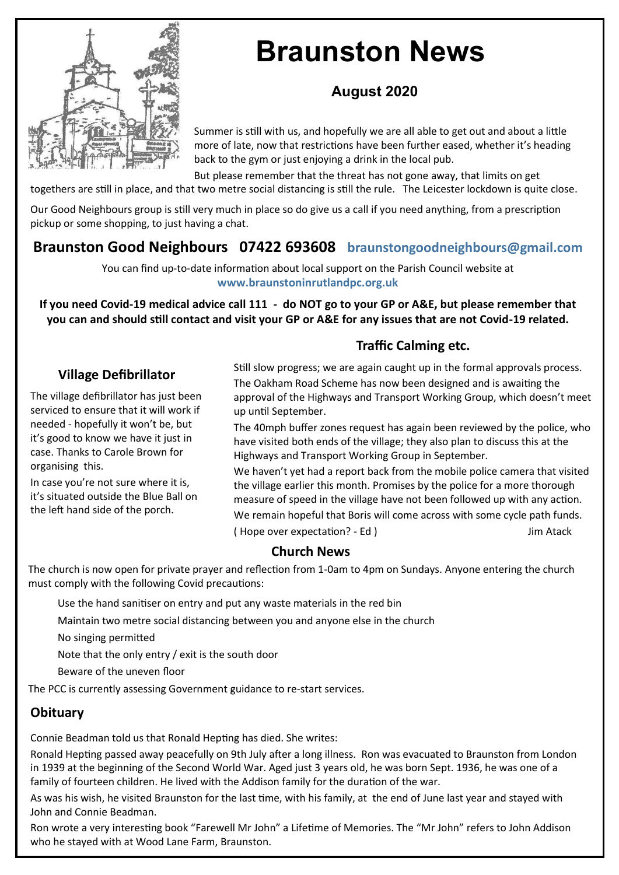

# **Braunston News**

# **August 2020**

Summer is still with us, and hopefully we are all able to get out and about a little more of late, now that restrictions have been further eased, whether it's heading back to the gym or just enjoying a drink in the local pub.

But please remember that the threat has not gone away, that limits on get

togethers are still in place, and that two metre social distancing is still the rule. The Leicester lockdown is quite close.

Our Good Neighbours group is still very much in place so do give us a call if you need anything, from a prescription pickup or some shopping, to just having a chat.

# **Braunston Good Neighbours 07422 693608 braunstongoodneighbours@gmail.com**

You can find up-to-date information about local support on the Parish Council website at **www.braunstoninrutlandpc.org.uk** 

**If you need Covid-19 medical advice call 111 - do NOT go to your GP or A&E, but please remember that you can and should still contact and visit your GP or A&E for any issues that are not Covid-19 related.**

# **Traffic Calming etc.**

#### **Village Defibrillator**

The village defibrillator has just been serviced to ensure that it will work if needed - hopefully it won't be, but it's good to know we have it just in case. Thanks to Carole Brown for organising this.

In case you're not sure where it is, it's situated outside the Blue Ball on the left hand side of the porch.

Still slow progress; we are again caught up in the formal approvals process. The Oakham Road Scheme has now been designed and is awaiting the approval of the Highways and Transport Working Group, which doesn't meet up until September.

The 40mph buffer zones request has again been reviewed by the police, who have visited both ends of the village; they also plan to discuss this at the Highways and Transport Working Group in September.

We haven't yet had a report back from the mobile police camera that visited the village earlier this month. Promises by the police for a more thorough measure of speed in the village have not been followed up with any action. We remain hopeful that Boris will come across with some cycle path funds. ( Hope over expectation? - Ed ) Jim Atack

#### **Church News**

The church is now open for private prayer and reflection from 1-0am to 4pm on Sundays. Anyone entering the church must comply with the following Covid precautions:

Use the hand sanitiser on entry and put any waste materials in the red bin

Maintain two metre social distancing between you and anyone else in the church

No singing permitted

Note that the only entry / exit is the south door

Beware of the uneven floor

The PCC is currently assessing Government guidance to re-start services.

## **Obituary**

Connie Beadman told us that Ronald Hepting has died. She writes:

Ronald Hepting passed away peacefully on 9th July after a long illness. Ron was evacuated to Braunston from London in 1939 at the beginning of the Second World War. Aged just 3 years old, he was born Sept. 1936, he was one of a family of fourteen children. He lived with the Addison family for the duration of the war.

As was his wish, he visited Braunston for the last time, with his family, at the end of June last year and stayed with John and Connie Beadman.

Ron wrote a very interesting book "Farewell Mr John" a Lifetime of Memories. The "Mr John" refers to John Addison who he stayed with at Wood Lane Farm, Braunston.